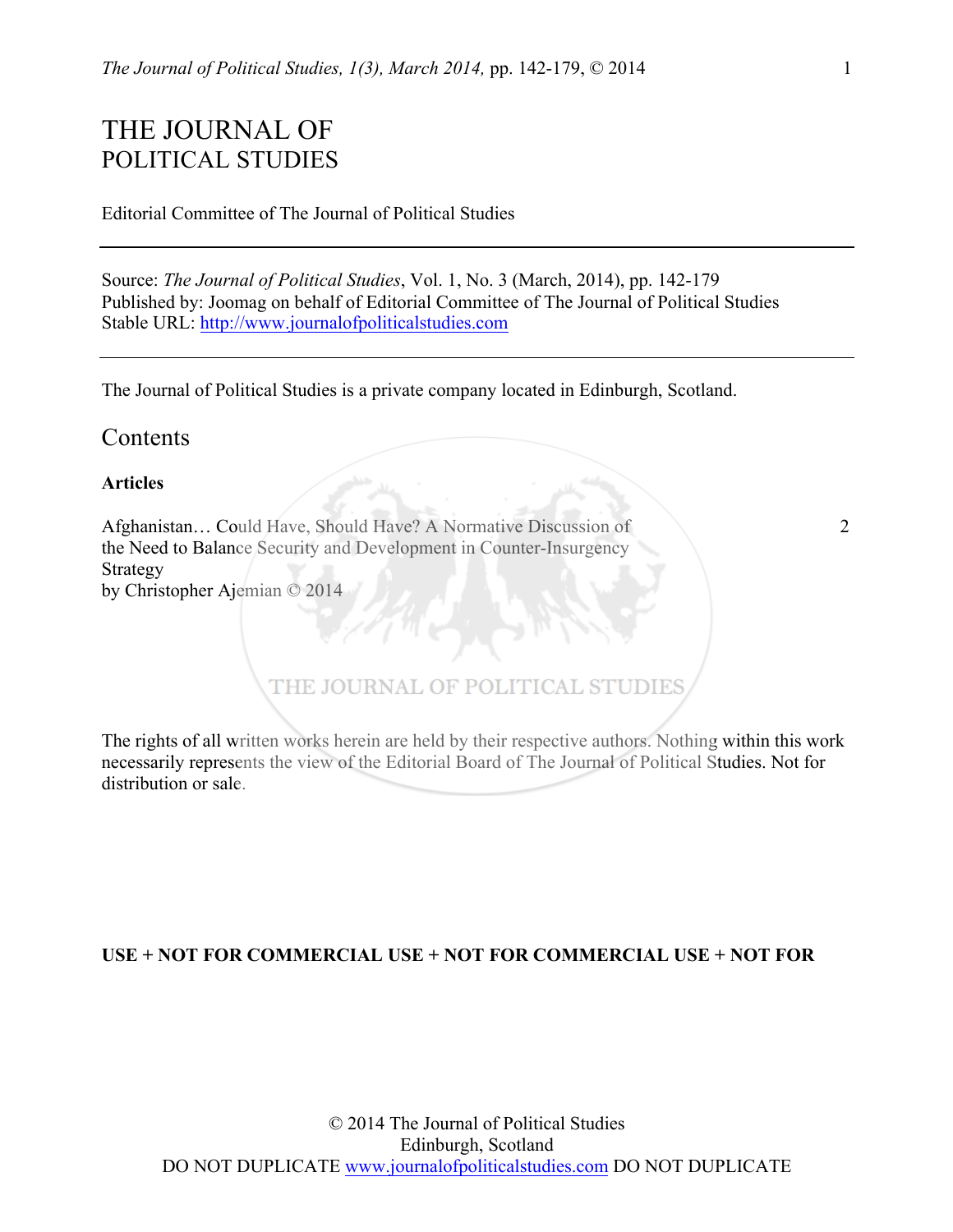# THE JOURNAL OF POLITICAL STUDIES

Editorial Committee of The Journal of Political Studies

Source: *The Journal of Political Studies*, Vol. 1, No. 3 (March, 2014), pp. 142-179 Published by: Joomag on behalf of Editorial Committee of The Journal of Political Studies Stable URL: http://www.journalofpoliticalstudies.com

The Journal of Political Studies is a private company located in Edinburgh, Scotland.

## **Contents**

## **Articles**

Afghanistan... Could Have, Should Have? A Normative Discussion of 2 the Need to Balance Security and Development in Counter-Insurgency Strategy by Christopher Ajemian © 2014

## THE JOURNAL OF POLITICAL STUDIES

The rights of all written works herein are held by their respective authors. Nothing within this work necessarily represents the view of the Editorial Board of The Journal of Political Studies. Not for distribution or sale.

### **USE + NOT FOR COMMERCIAL USE + NOT FOR COMMERCIAL USE + NOT FOR**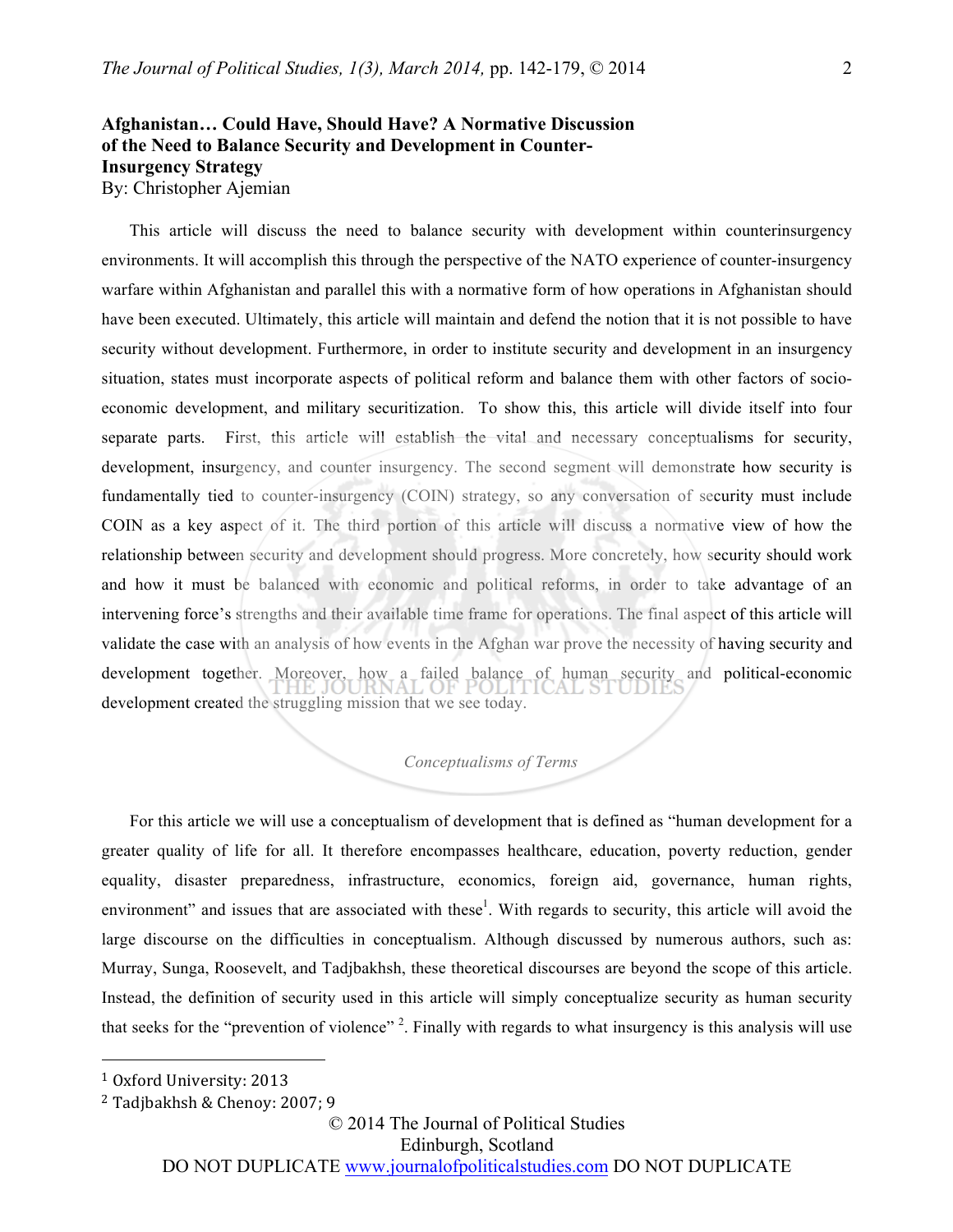## **Afghanistan… Could Have, Should Have? A Normative Discussion of the Need to Balance Security and Development in Counter-Insurgency Strategy**  By: Christopher Ajemian

This article will discuss the need to balance security with development within counterinsurgency environments. It will accomplish this through the perspective of the NATO experience of counter-insurgency warfare within Afghanistan and parallel this with a normative form of how operations in Afghanistan should have been executed. Ultimately, this article will maintain and defend the notion that it is not possible to have security without development. Furthermore, in order to institute security and development in an insurgency situation, states must incorporate aspects of political reform and balance them with other factors of socioeconomic development, and military securitization. To show this, this article will divide itself into four separate parts. First, this article will establish the vital and necessary conceptualisms for security, development, insurgency, and counter insurgency. The second segment will demonstrate how security is fundamentally tied to counter-insurgency (COIN) strategy, so any conversation of security must include COIN as a key aspect of it. The third portion of this article will discuss a normative view of how the relationship between security and development should progress. More concretely, how security should work and how it must be balanced with economic and political reforms, in order to take advantage of an intervening force's strengths and their available time frame for operations. The final aspect of this article will validate the case with an analysis of how events in the Afghan war prove the necessity of having security and development together. Moreover, how a failed balance of human security and political-economic development created the struggling mission that we see today.

#### *Conceptualisms of Terms*

For this article we will use a conceptualism of development that is defined as "human development for a greater quality of life for all. It therefore encompasses healthcare, education, poverty reduction, gender equality, disaster preparedness, infrastructure, economics, foreign aid, governance, human rights, environment" and issues that are associated with these<sup>1</sup>. With regards to security, this article will avoid the large discourse on the difficulties in conceptualism. Although discussed by numerous authors, such as: Murray, Sunga, Roosevelt, and Tadjbakhsh, these theoretical discourses are beyond the scope of this article. Instead, the definition of security used in this article will simply conceptualize security as human security that seeks for the "prevention of violence"<sup>2</sup>. Finally with regards to what insurgency is this analysis will use

 $\overline{a}$ 

© 2014 The Journal of Political Studies

Edinburgh, Scotland

<sup>&</sup>lt;sup>1</sup> Oxford University: 2013

 $2$  Tadjbakhsh & Chenoy: 2007; 9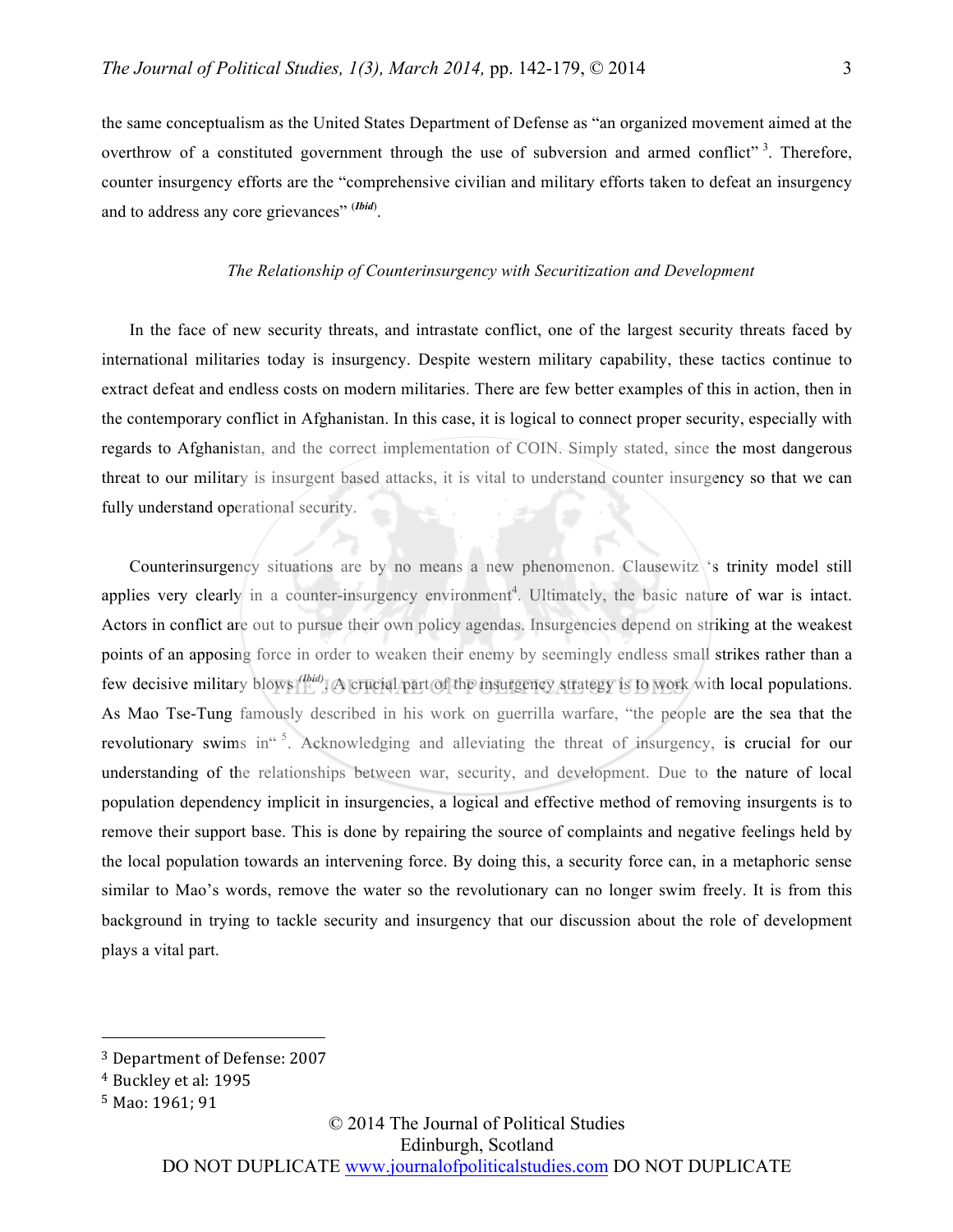the same conceptualism as the United States Department of Defense as "an organized movement aimed at the overthrow of a constituted government through the use of subversion and armed conflict"<sup>3</sup>. Therefore, counter insurgency efforts are the "comprehensive civilian and military efforts taken to defeat an insurgency and to address any core grievances" (*Ibid*).

#### *The Relationship of Counterinsurgency with Securitization and Development*

In the face of new security threats, and intrastate conflict, one of the largest security threats faced by international militaries today is insurgency. Despite western military capability, these tactics continue to extract defeat and endless costs on modern militaries. There are few better examples of this in action, then in the contemporary conflict in Afghanistan. In this case, it is logical to connect proper security, especially with regards to Afghanistan, and the correct implementation of COIN. Simply stated, since the most dangerous threat to our military is insurgent based attacks, it is vital to understand counter insurgency so that we can fully understand operational security.

Counterinsurgency situations are by no means a new phenomenon. Clausewitz 's trinity model still applies very clearly in a counter-insurgency environment<sup>4</sup>. Ultimately, the basic nature of war is intact. Actors in conflict are out to pursue their own policy agendas. Insurgencies depend on striking at the weakest points of an apposing force in order to weaken their enemy by seemingly endless small strikes rather than a few decisive military blows *(Ibid)*. A crucial part of the insurgency strategy is to work with local populations. As Mao Tse-Tung famously described in his work on guerrilla warfare, "the people are the sea that the revolutionary swims in <sup>5</sup>. Acknowledging and alleviating the threat of insurgency, is crucial for our understanding of the relationships between war, security, and development. Due to the nature of local population dependency implicit in insurgencies, a logical and effective method of removing insurgents is to remove their support base. This is done by repairing the source of complaints and negative feelings held by the local population towards an intervening force. By doing this, a security force can, in a metaphoric sense similar to Mao's words, remove the water so the revolutionary can no longer swim freely. It is from this background in trying to tackle security and insurgency that our discussion about the role of development plays a vital part.

 $\overline{a}$ 

## © 2014 The Journal of Political Studies Edinburgh, Scotland

<sup>&</sup>lt;sup>3</sup> Department of Defense: 2007

<sup>&</sup>lt;sup>4</sup> Buckley et al: 1995

 $5$  Mao: 1961; 91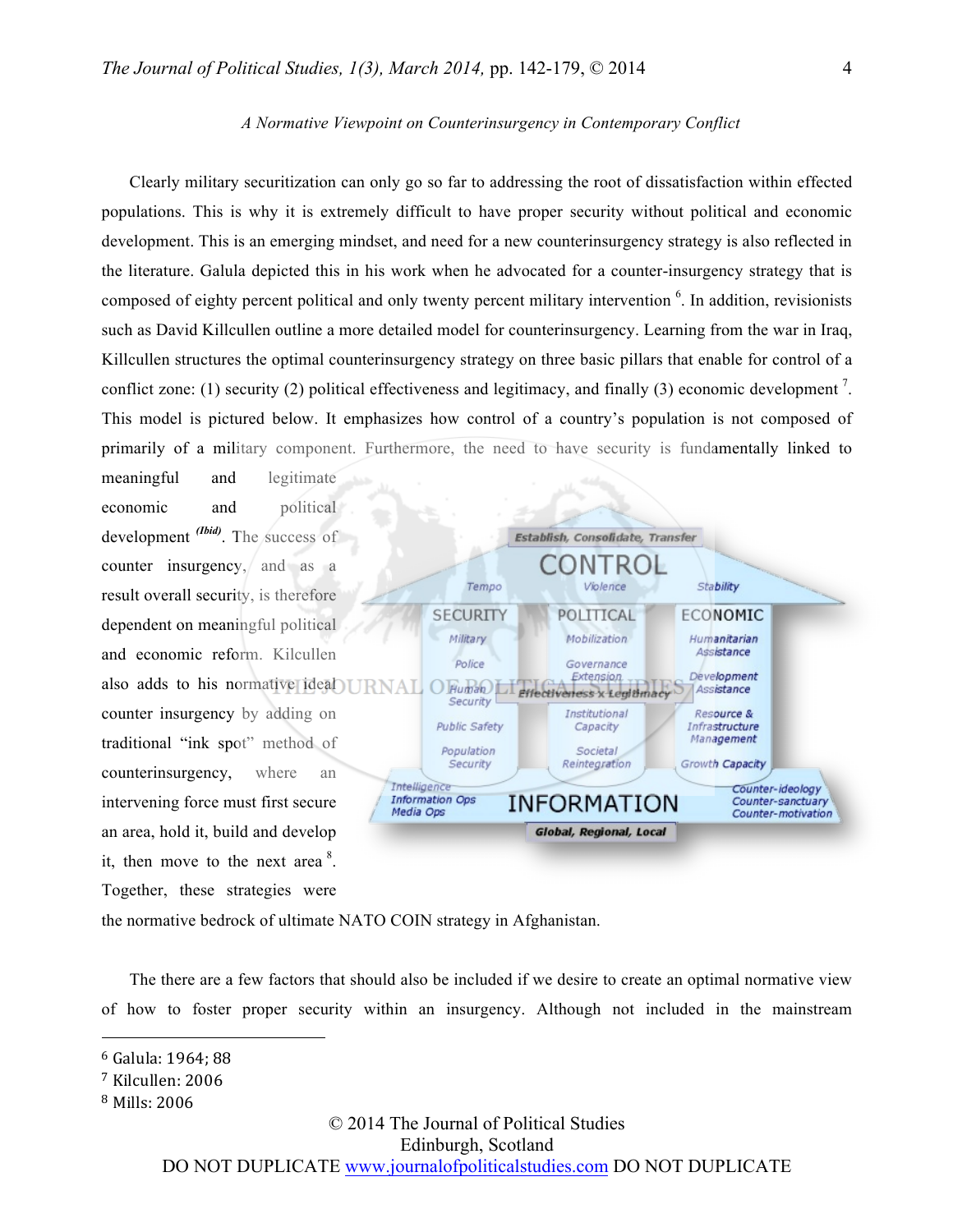#### *A Normative Viewpoint on Counterinsurgency in Contemporary Conflict*

Clearly military securitization can only go so far to addressing the root of dissatisfaction within effected populations. This is why it is extremely difficult to have proper security without political and economic development. This is an emerging mindset, and need for a new counterinsurgency strategy is also reflected in the literature. Galula depicted this in his work when he advocated for a counter-insurgency strategy that is composed of eighty percent political and only twenty percent military intervention <sup>6</sup>. In addition, revisionists such as David Killcullen outline a more detailed model for counterinsurgency. Learning from the war in Iraq, Killcullen structures the optimal counterinsurgency strategy on three basic pillars that enable for control of a conflict zone: (1) security (2) political effectiveness and legitimacy, and finally (3) economic development<sup>7</sup>. This model is pictured below. It emphasizes how control of a country's population is not composed of primarily of a military component. Furthermore, the need to have security is fundamentally linked to

economic and political development *(Ibid)*. The success of counter insurgency, and as a result overall security, is therefore dependent on meaningful political and economic reform. Kilcullen also adds to his normative ideal counter insurgency by adding on traditional "ink spot" method of counterinsurgency, where an intervening force must first secure an area, hold it, build and develop it, then move to the next area  $8$ . Together, these strategies were

meaningful and legitimate



the normative bedrock of ultimate NATO COIN strategy in Afghanistan.

The there are a few factors that should also be included if we desire to create an optimal normative view of how to foster proper security within an insurgency. Although not included in the mainstream

 $\overline{a}$ 

© 2014 The Journal of Political Studies

Edinburgh, Scotland

 $6$  Galula: 1964; 88

<sup>&</sup>lt;sup>7</sup> Kilcullen: 2006

<sup>&</sup>lt;sup>8</sup> Mills: 2006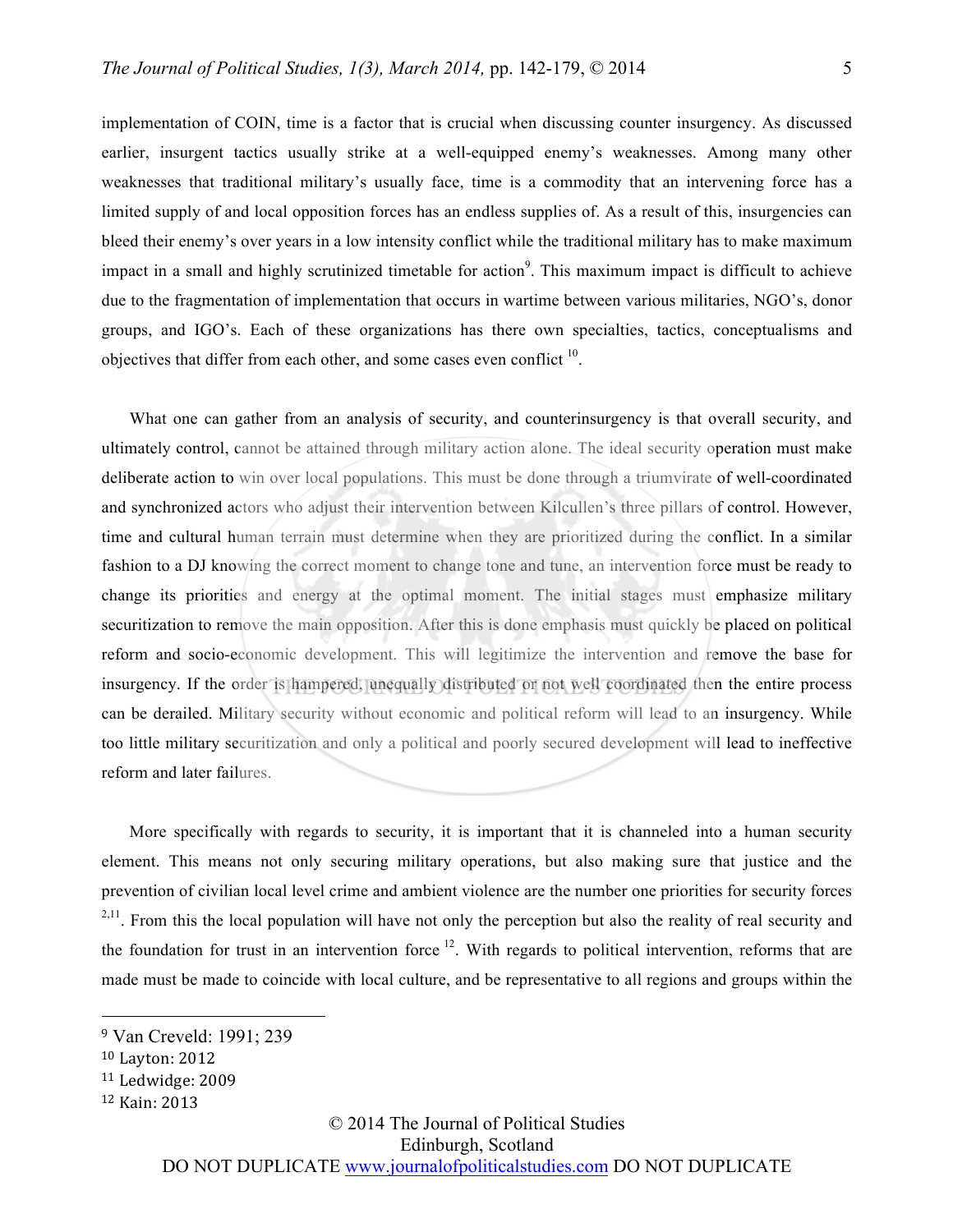implementation of COIN, time is a factor that is crucial when discussing counter insurgency. As discussed earlier, insurgent tactics usually strike at a well-equipped enemy's weaknesses. Among many other weaknesses that traditional military's usually face, time is a commodity that an intervening force has a limited supply of and local opposition forces has an endless supplies of. As a result of this, insurgencies can bleed their enemy's over years in a low intensity conflict while the traditional military has to make maximum impact in a small and highly scrutinized timetable for action<sup>9</sup>. This maximum impact is difficult to achieve due to the fragmentation of implementation that occurs in wartime between various militaries, NGO's, donor groups, and IGO's. Each of these organizations has there own specialties, tactics, conceptualisms and objectives that differ from each other, and some cases even conflict  $10$ .

What one can gather from an analysis of security, and counterinsurgency is that overall security, and ultimately control, cannot be attained through military action alone. The ideal security operation must make deliberate action to win over local populations. This must be done through a triumvirate of well-coordinated and synchronized actors who adjust their intervention between Kilcullen's three pillars of control. However, time and cultural human terrain must determine when they are prioritized during the conflict. In a similar fashion to a DJ knowing the correct moment to change tone and tune, an intervention force must be ready to change its priorities and energy at the optimal moment. The initial stages must emphasize military securitization to remove the main opposition. After this is done emphasis must quickly be placed on political reform and socio-economic development. This will legitimize the intervention and remove the base for insurgency. If the order is hampered, unequally distributed or not well coordinated then the entire process can be derailed. Military security without economic and political reform will lead to an insurgency. While too little military securitization and only a political and poorly secured development will lead to ineffective reform and later failures.

More specifically with regards to security, it is important that it is channeled into a human security element. This means not only securing military operations, but also making sure that justice and the prevention of civilian local level crime and ambient violence are the number one priorities for security forces  $2,11$ . From this the local population will have not only the perception but also the reality of real security and the foundation for trust in an intervention force  $12$ . With regards to political intervention, reforms that are made must be made to coincide with local culture, and be representative to all regions and groups within the

 $\overline{a}$ 

© 2014 The Journal of Political Studies

Edinburgh, Scotland

<sup>9</sup> Van Creveld: 1991; 239

<sup>&</sup>lt;sup>10</sup> Layton: 2012

 $11$  Ledwidge: 2009

<sup>12</sup> Kain: 2013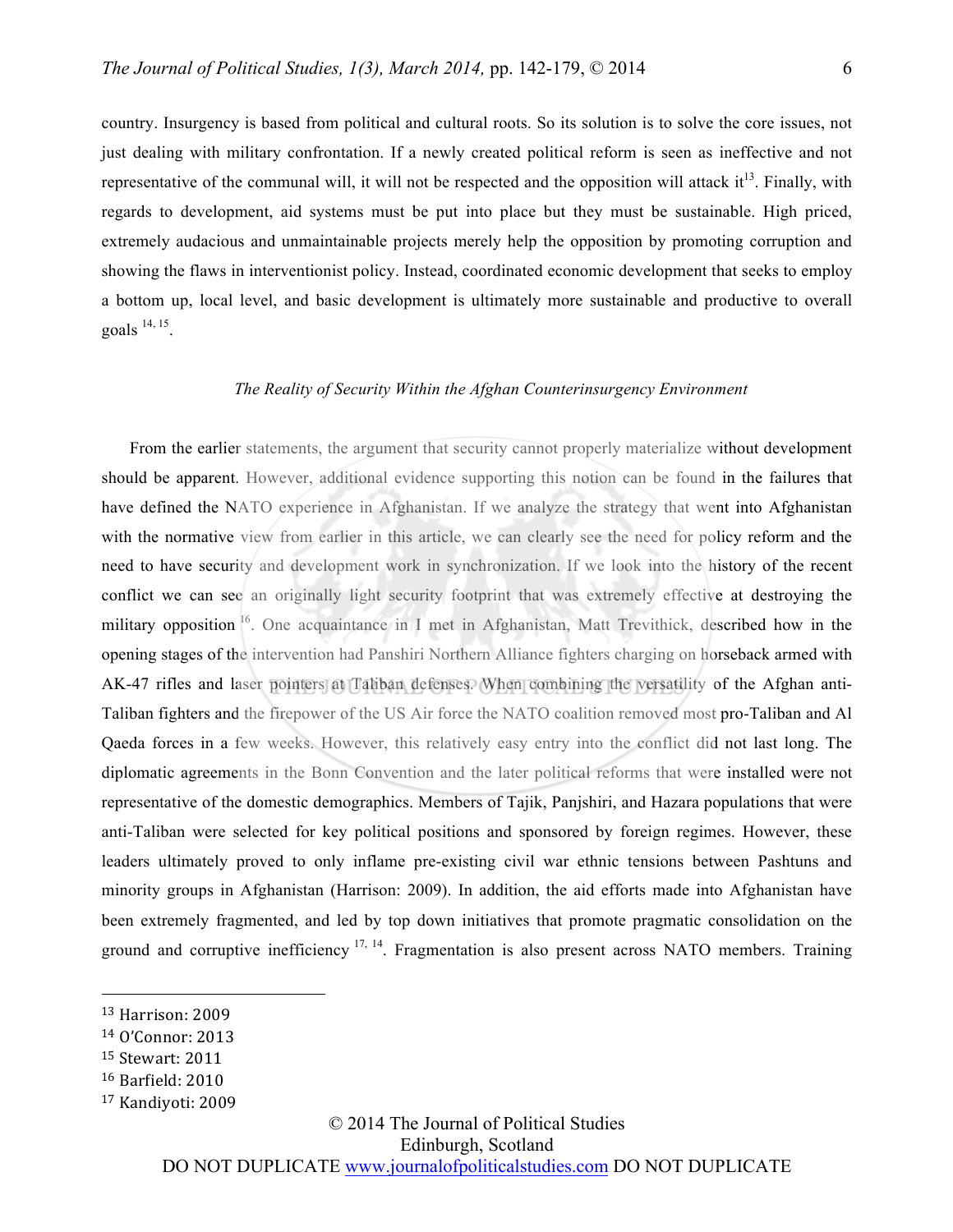country. Insurgency is based from political and cultural roots. So its solution is to solve the core issues, not just dealing with military confrontation. If a newly created political reform is seen as ineffective and not representative of the communal will, it will not be respected and the opposition will attack it<sup>13</sup>. Finally, with regards to development, aid systems must be put into place but they must be sustainable. High priced, extremely audacious and unmaintainable projects merely help the opposition by promoting corruption and showing the flaws in interventionist policy. Instead, coordinated economic development that seeks to employ a bottom up, local level, and basic development is ultimately more sustainable and productive to overall goals  $^{14, 15}$ .

### *The Reality of Security Within the Afghan Counterinsurgency Environment*

From the earlier statements, the argument that security cannot properly materialize without development should be apparent. However, additional evidence supporting this notion can be found in the failures that have defined the NATO experience in Afghanistan. If we analyze the strategy that went into Afghanistan with the normative view from earlier in this article, we can clearly see the need for policy reform and the need to have security and development work in synchronization. If we look into the history of the recent conflict we can see an originally light security footprint that was extremely effective at destroying the military opposition <sup>16</sup>. One acquaintance in I met in Afghanistan, Matt Trevithick, described how in the opening stages of the intervention had Panshiri Northern Alliance fighters charging on horseback armed with AK-47 rifles and laser pointers at Taliban defenses. When combining the versatility of the Afghan anti-Taliban fighters and the firepower of the US Air force the NATO coalition removed most pro-Taliban and Al Qaeda forces in a few weeks. However, this relatively easy entry into the conflict did not last long. The diplomatic agreements in the Bonn Convention and the later political reforms that were installed were not representative of the domestic demographics. Members of Tajik, Panjshiri, and Hazara populations that were anti-Taliban were selected for key political positions and sponsored by foreign regimes. However, these leaders ultimately proved to only inflame pre-existing civil war ethnic tensions between Pashtuns and minority groups in Afghanistan (Harrison: 2009). In addition, the aid efforts made into Afghanistan have been extremely fragmented, and led by top down initiatives that promote pragmatic consolidation on the ground and corruptive inefficiency  $17, 14$ . Fragmentation is also present across NATO members. Training

 $\overline{a}$ 

## © 2014 The Journal of Political Studies Edinburgh, Scotland

<sup>13</sup> Harrison: 2009

<sup>&</sup>lt;sup>14</sup> O'Connor: 2013

<sup>&</sup>lt;sup>15</sup> Stewart: 2011

<sup>&</sup>lt;sup>16</sup> Barfield: 2010

<sup>&</sup>lt;sup>17</sup> Kandiyoti: 2009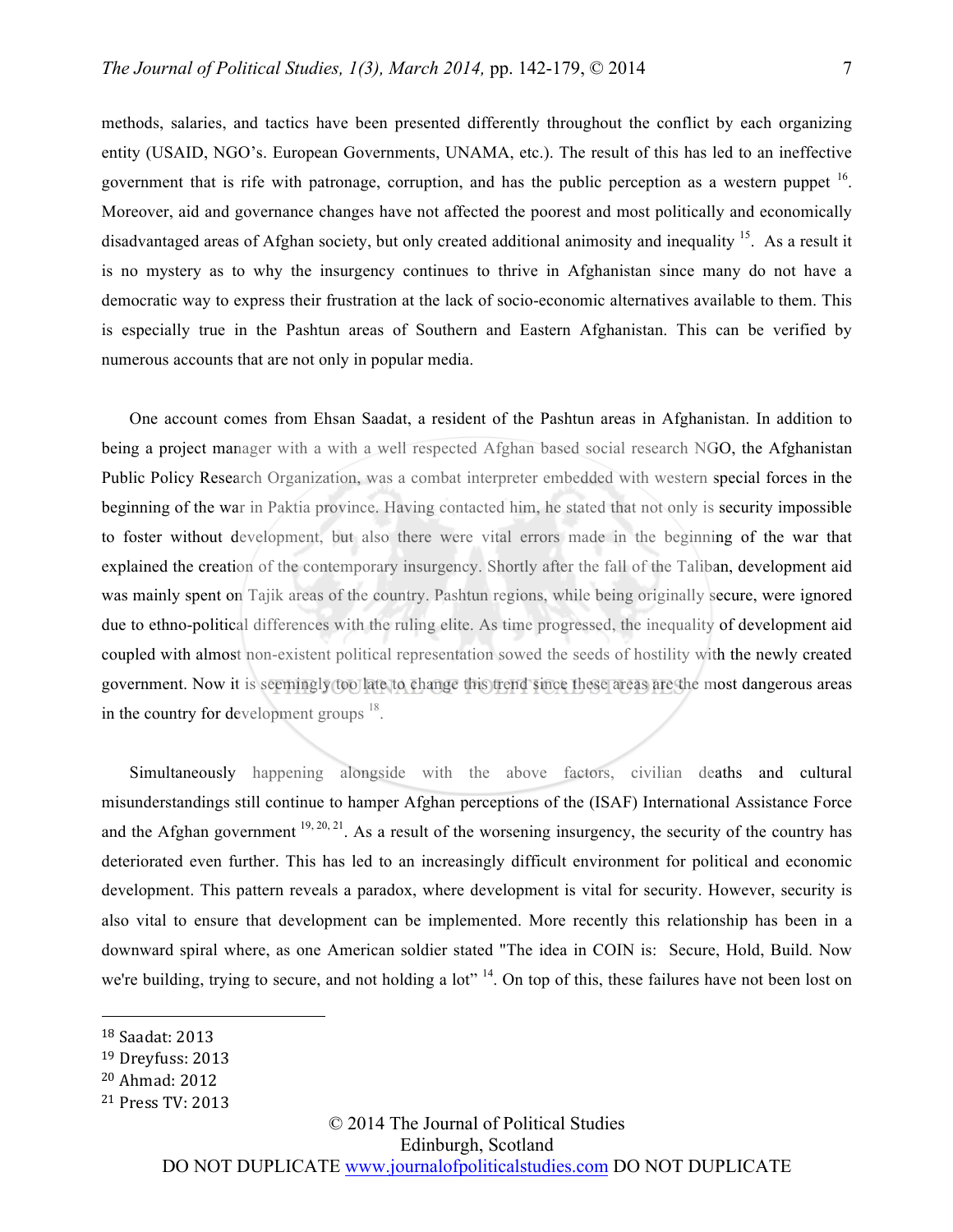methods, salaries, and tactics have been presented differently throughout the conflict by each organizing entity (USAID, NGO's. European Governments, UNAMA, etc.). The result of this has led to an ineffective government that is rife with patronage, corruption, and has the public perception as a western puppet  $16$ . Moreover, aid and governance changes have not affected the poorest and most politically and economically disadvantaged areas of Afghan society, but only created additional animosity and inequality <sup>15</sup>. As a result it is no mystery as to why the insurgency continues to thrive in Afghanistan since many do not have a democratic way to express their frustration at the lack of socio-economic alternatives available to them. This is especially true in the Pashtun areas of Southern and Eastern Afghanistan. This can be verified by numerous accounts that are not only in popular media.

One account comes from Ehsan Saadat, a resident of the Pashtun areas in Afghanistan. In addition to being a project manager with a with a well respected Afghan based social research NGO, the Afghanistan Public Policy Research Organization, was a combat interpreter embedded with western special forces in the beginning of the war in Paktia province. Having contacted him, he stated that not only is security impossible to foster without development, but also there were vital errors made in the beginning of the war that explained the creation of the contemporary insurgency. Shortly after the fall of the Taliban, development aid was mainly spent on Tajik areas of the country. Pashtun regions, while being originally secure, were ignored due to ethno-political differences with the ruling elite. As time progressed, the inequality of development aid coupled with almost non-existent political representation sowed the seeds of hostility with the newly created government. Now it is seemingly too late to change this trend since these areas are the most dangerous areas in the country for development groups  $^{18}$ .

Simultaneously happening alongside with the above factors, civilian deaths and cultural misunderstandings still continue to hamper Afghan perceptions of the (ISAF) International Assistance Force and the Afghan government  $19, 20, 21$ . As a result of the worsening insurgency, the security of the country has deteriorated even further. This has led to an increasingly difficult environment for political and economic development. This pattern reveals a paradox, where development is vital for security. However, security is also vital to ensure that development can be implemented. More recently this relationship has been in a downward spiral where, as one American soldier stated "The idea in COIN is: Secure, Hold, Build. Now we're building, trying to secure, and not holding a lot" <sup>14</sup>. On top of this, these failures have not been lost on

 $\overline{a}$ 

© 2014 The Journal of Political Studies

Edinburgh, Scotland

<sup>&</sup>lt;sup>18</sup> Saadat: 2013

 $19$  Dreyfuss: 2013

<sup>&</sup>lt;sup>20</sup> Ahmad: 2012

<sup>&</sup>lt;sup>21</sup> Press TV: 2013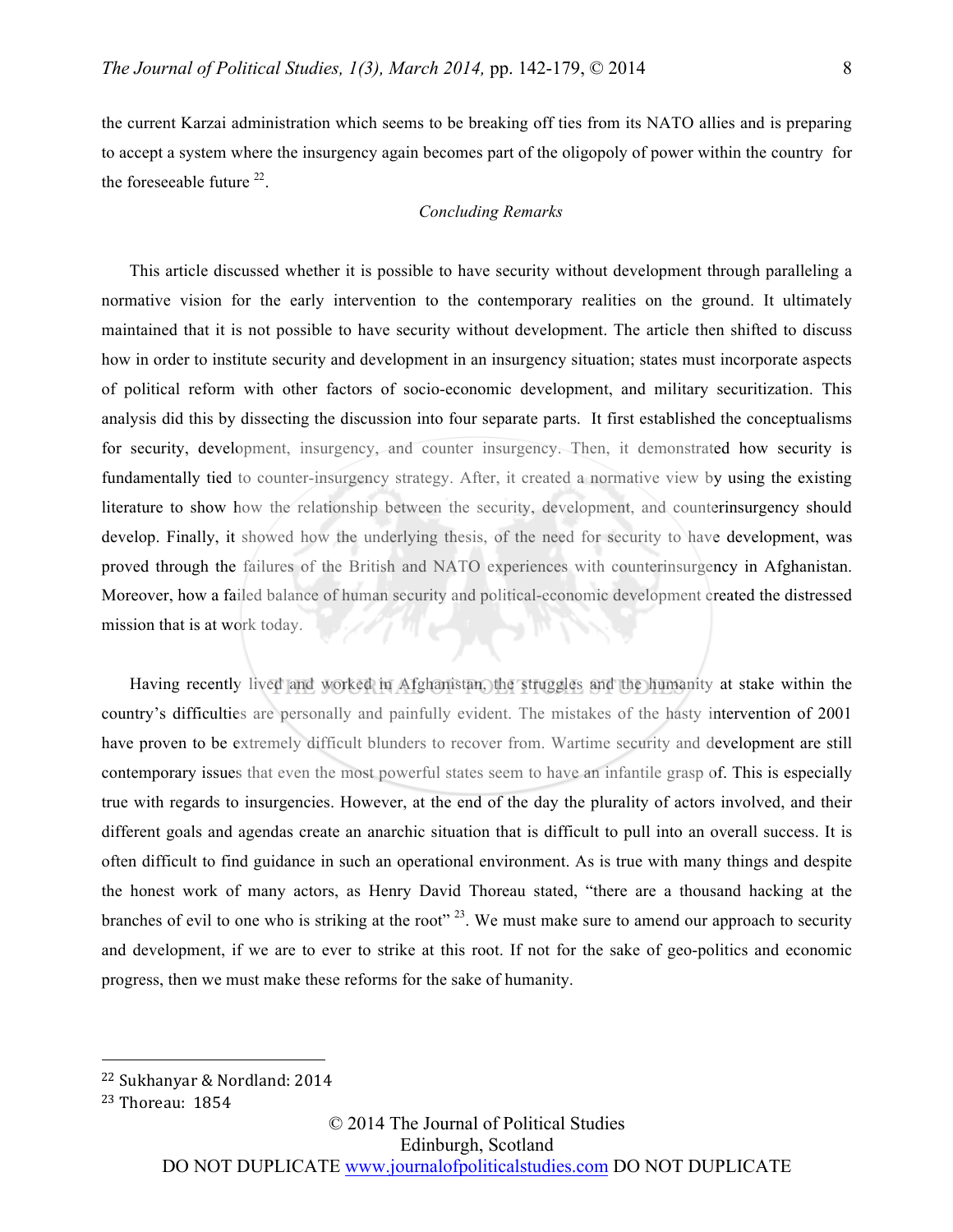the current Karzai administration which seems to be breaking off ties from its NATO allies and is preparing to accept a system where the insurgency again becomes part of the oligopoly of power within the country for the foreseeable future  $^{22}$ .

#### *Concluding Remarks*

This article discussed whether it is possible to have security without development through paralleling a normative vision for the early intervention to the contemporary realities on the ground. It ultimately maintained that it is not possible to have security without development. The article then shifted to discuss how in order to institute security and development in an insurgency situation; states must incorporate aspects of political reform with other factors of socio-economic development, and military securitization. This analysis did this by dissecting the discussion into four separate parts. It first established the conceptualisms for security, development, insurgency, and counter insurgency. Then, it demonstrated how security is fundamentally tied to counter-insurgency strategy. After, it created a normative view by using the existing literature to show how the relationship between the security, development, and counterinsurgency should develop. Finally, it showed how the underlying thesis, of the need for security to have development, was proved through the failures of the British and NATO experiences with counterinsurgency in Afghanistan. Moreover, how a failed balance of human security and political-economic development created the distressed mission that is at work today.

Having recently lived and worked in Afghanistan, the struggles and the humanity at stake within the country's difficulties are personally and painfully evident. The mistakes of the hasty intervention of 2001 have proven to be extremely difficult blunders to recover from. Wartime security and development are still contemporary issues that even the most powerful states seem to have an infantile grasp of. This is especially true with regards to insurgencies. However, at the end of the day the plurality of actors involved, and their different goals and agendas create an anarchic situation that is difficult to pull into an overall success. It is often difficult to find guidance in such an operational environment. As is true with many things and despite the honest work of many actors, as Henry David Thoreau stated, "there are a thousand hacking at the branches of evil to one who is striking at the root"  $^{23}$ . We must make sure to amend our approach to security and development, if we are to ever to strike at this root. If not for the sake of geo-politics and economic progress, then we must make these reforms for the sake of humanity.

 $\overline{a}$ 

© 2014 The Journal of Political Studies Edinburgh, Scotland

<sup>&</sup>lt;sup>22</sup> Sukhanyar & Nordland: 2014

 $23$  Thoreau:  $1854$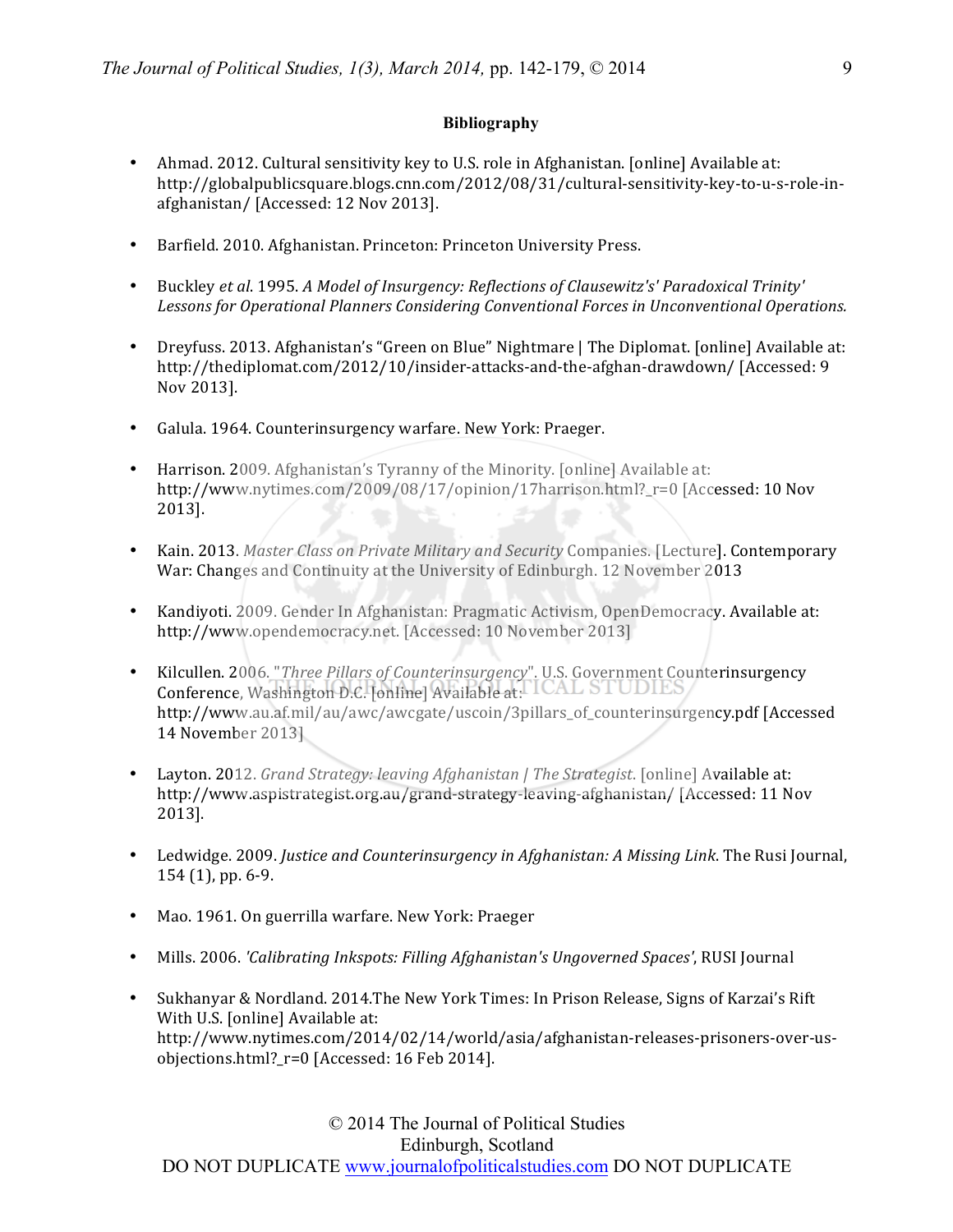## **Bibliography**

- Ahmad. 2012. Cultural sensitivity key to U.S. role in Afghanistan. [online] Available at: http://globalpublicsquare.blogs.cnn.com/2012/08/31/cultural-sensitivity-key-to-u-s-role-inafghanistan/ [Accessed: 12 Nov 2013].
- Barfield. 2010. Afghanistan. Princeton: Princeton University Press.
- Buckley *et al.* 1995. *A Model of Insurgency: Reflections of Clausewitz's' Paradoxical Trinity'* Lessons for Operational Planners Considering Conventional Forces in Unconventional Operations.
- Dreyfuss. 2013. Afghanistan's "Green on Blue" Nightmare | The Diplomat. [online] Available at: http://thediplomat.com/2012/10/insider-attacks-and-the-afghan-drawdown/ [Accessed: 9 Nov 2013].
- Galula. 1964. Counterinsurgency warfare. New York: Praeger.
- Harrison. 2009. Afghanistan's Tyranny of the Minority. [online] Available at: http://www.nytimes.com/2009/08/17/opinion/17harrison.html? r=0 [Accessed: 10 Nov 2013].
- Kain. 2013. Master Class on Private Military and Security Companies. [Lecture]. Contemporary War: Changes and Continuity at the University of Edinburgh. 12 November 2013
- Kandiyoti. 2009. Gender In Afghanistan: Pragmatic Activism, OpenDemocracy. Available at: http://www.opendemocracy.net. [Accessed: 10 November 2013]
- Kilcullen. 2006. "Three Pillars of Counterinsurgency". U.S. Government Counterinsurgency Conference, Washington D.C. [online] Available at: http://www.au.af.mil/au/awc/awcgate/uscoin/3pillars\_of\_counterinsurgency.pdf [Accessed 14 November 2013]
- Layton. 2012. *Grand Strategy: leaving Afghanistan | The Strategist*. [online] Available at: http://www.aspistrategist.org.au/grand-strategy-leaving-afghanistan/ [Accessed: 11 Nov 2013].
- Ledwidge. 2009. *Justice and Counterinsurgency in Afghanistan: A Missing Link*. The Rusi Journal,  $154(1)$ , pp. 6-9.
- Mao. 1961. On guerrilla warfare. New York: Praeger
- Mills. 2006. *'Calibrating Inkspots: Filling Afghanistan's Ungoverned Spaces'*, RUSI Journal
- Sukhanyar & Nordland. 2014.The New York Times: In Prison Release, Signs of Karzai's Rift With U.S. [online] Available at: http://www.nytimes.com/2014/02/14/world/asia/afghanistan-releases-prisoners-over-usobjections.html?\_r=0 [Accessed: 16 Feb 2014].